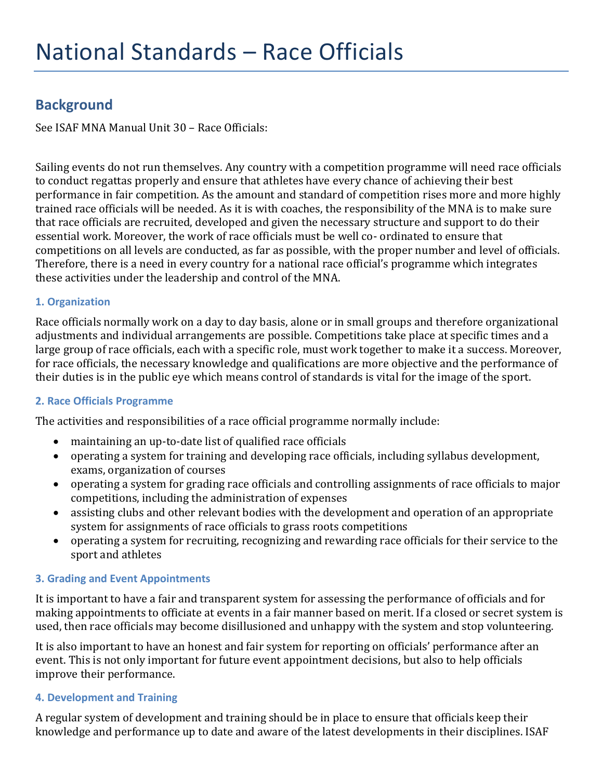# **Background**

See ISAF MNA Manual Unit 30 – Race Officials:

Sailing events do not run themselves. Any country with a competition programme will need race officials to conduct regattas properly and ensure that athletes have every chance of achieving their best performance in fair competition. As the amount and standard of competition rises more and more highly trained race officials will be needed. As it is with coaches, the responsibility of the MNA is to make sure that race officials are recruited, developed and given the necessary structure and support to do their essential work. Moreover, the work of race officials must be well co- ordinated to ensure that competitions on all levels are conducted, as far as possible, with the proper number and level of officials. Therefore, there is a need in every country for a national race official's programme which integrates these activities under the leadership and control of the MNA.

## **1. Organization**

Race officials normally work on a day to day basis, alone or in small groups and therefore organizational adjustments and individual arrangements are possible. Competitions take place at specific times and a large group of race officials, each with a specific role, must work together to make it a success. Moreover, for race officials, the necessary knowledge and qualifications are more objective and the performance of their duties is in the public eye which means control of standards is vital for the image of the sport.

#### **2. Race Officials Programme**

The activities and responsibilities of a race official programme normally include:

- maintaining an up-to-date list of qualified race officials
- operating a system for training and developing race officials, including syllabus development, exams, organization of courses
- operating a system for grading race officials and controlling assignments of race officials to major competitions, including the administration of expenses
- assisting clubs and other relevant bodies with the development and operation of an appropriate system for assignments of race officials to grass roots competitions
- operating a system for recruiting, recognizing and rewarding race officials for their service to the sport and athletes

# **3. Grading and Event Appointments**

It is important to have a fair and transparent system for assessing the performance of officials and for making appointments to officiate at events in a fair manner based on merit. If a closed or secret system is used, then race officials may become disillusioned and unhappy with the system and stop volunteering.

It is also important to have an honest and fair system for reporting on officials' performance after an event. This is not only important for future event appointment decisions, but also to help officials improve their performance.

#### **4. Development and Training**

A regular system of development and training should be in place to ensure that officials keep their knowledge and performance up to date and aware of the latest developments in their disciplines. ISAF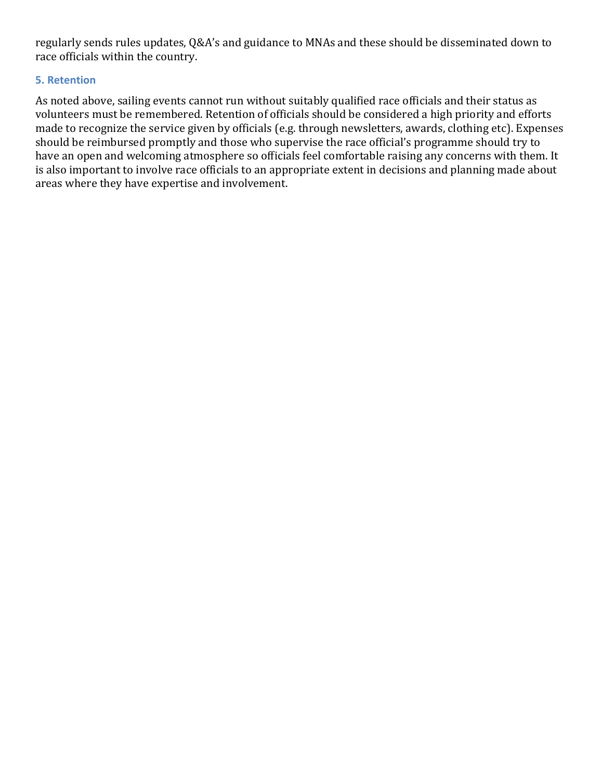regularly sends rules updates, Q&A's and guidance to MNAs and these should be disseminated down to race officials within the country.

## **5. Retention**

As noted above, sailing events cannot run without suitably qualified race officials and their status as volunteers must be remembered. Retention of officials should be considered a high priority and efforts made to recognize the service given by officials (e.g. through newsletters, awards, clothing etc). Expenses should be reimbursed promptly and those who supervise the race official's programme should try to have an open and welcoming atmosphere so officials feel comfortable raising any concerns with them. It is also important to involve race officials to an appropriate extent in decisions and planning made about areas where they have expertise and involvement.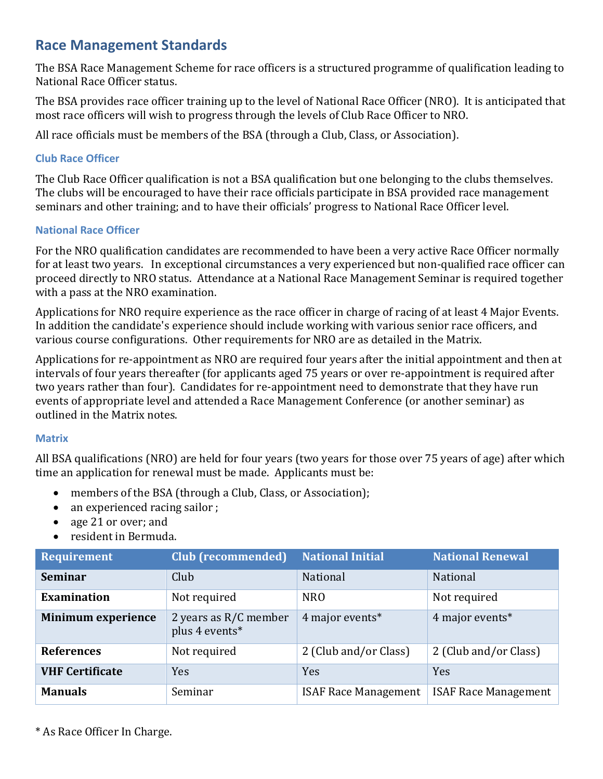# **Race Management Standards**

The BSA Race Management Scheme for race officers is a structured programme of qualification leading to National Race Officer status.

The BSA provides race officer training up to the level of National Race Officer (NRO). It is anticipated that most race officers will wish to progress through the levels of Club Race Officer to NRO.

All race officials must be members of the BSA (through a Club, Class, or Association).

### **Club Race Officer**

The Club Race Officer qualification is not a BSA qualification but one belonging to the clubs themselves. The clubs will be encouraged to have their race officials participate in BSA provided race management seminars and other training; and to have their officials' progress to National Race Officer level.

## **National Race Officer**

For the NRO qualification candidates are recommended to have been a very active Race Officer normally for at least two years. In exceptional circumstances a very experienced but non-qualified race officer can proceed directly to NRO status. Attendance at a National Race Management Seminar is required together with a pass at the NRO examination.

Applications for NRO require experience as the race officer in charge of racing of at least 4 Major Events. In addition the candidate's experience should include working with various senior race officers, and various course configurations. Other requirements for NRO are as detailed in the Matrix.

Applications for re-appointment as NRO are required four years after the initial appointment and then at intervals of four years thereafter (for applicants aged 75 years or over re-appointment is required after two years rather than four). Candidates for re-appointment need to demonstrate that they have run events of appropriate level and attended a Race Management Conference (or another seminar) as outlined in the Matrix notes.

# **Matrix**

All BSA qualifications (NRO) are held for four years (two years for those over 75 years of age) after which time an application for renewal must be made. Applicants must be:

- members of the BSA (through a Club, Class, or Association);
- an experienced racing sailor ;
- age 21 or over; and
- resident in Bermuda.

| <b>Requirement</b>        | <b>Club (recommended)</b>               | <b>National Initial</b>     | <b>National Renewal</b>     |
|---------------------------|-----------------------------------------|-----------------------------|-----------------------------|
| <b>Seminar</b>            | Club                                    | National                    | <b>National</b>             |
| <b>Examination</b>        | Not required                            | <b>NRO</b>                  | Not required                |
| <b>Minimum experience</b> | 2 years as R/C member<br>plus 4 events* | 4 major events*             | 4 major events*             |
| <b>References</b>         | Not required                            | 2 (Club and/or Class)       | 2 (Club and/or Class)       |
| <b>VHF Certificate</b>    | <b>Yes</b>                              | Yes                         | <b>Yes</b>                  |
| <b>Manuals</b>            | Seminar                                 | <b>ISAF Race Management</b> | <b>ISAF Race Management</b> |

\* As Race Officer In Charge.